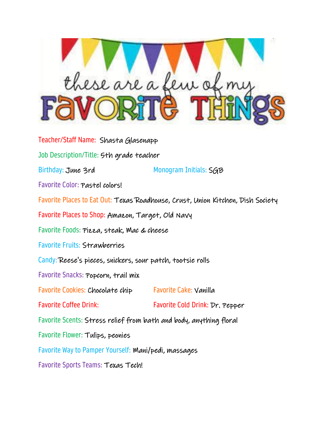

Teacher/Staff Name: Shasta Glasenapp Job Description/Title: 5th grade teacher Birthday: June 3rd Monogram Initials: SGB Favorite Color: Pastel colors! Favorite Places to Eat Out: Texas Roadhouse, Crust, Union Kitchen, Dish Society Favorite Places to Shop: Amazon, Target, Old Navy Favorite Foods: Pizza, steak, Mac & cheese Favorite Fruits: Strawberries Candy: Reese's pieces, snickers, sour patch, tootsie rolls Favorite Snacks: Popcorn, trail mix Favorite Cookies: Chocolate chip Favorite Cake: Vanilla Favorite Coffee Drink: Favorite Cold Drink: Dr. Pepper Favorite Scents: Stress relief from bath and body, anything floral Favorite Flower: Tulips, peonies Favorite Way to Pamper Yourself: Mani/pedi, massages Favorite Sports Teams: Texas Tech!